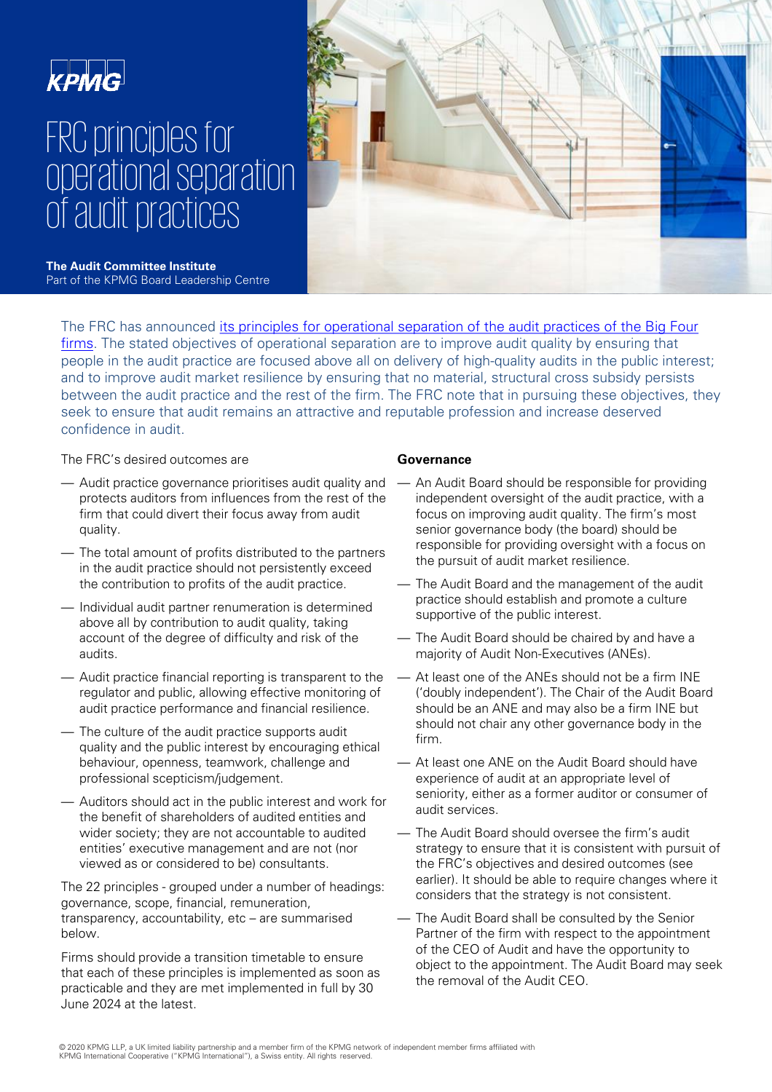

# FRC principles for operational separation of audit practices



**The Audit Committee Institute**  Part of the KPMG Board Leadership Centre

[The FRC has announced its principles for operational separation of the audit practices of the Big Four](https://www.frc.org.uk/getattachment/281a7d7e-74fe-43f7-854a-e52158bc6ae2/Operational-separation-principles-published-July-2020.pdf)  firms. The stated objectives of operational separation are to improve audit quality by ensuring that people in the audit practice are focused above all on delivery of high-quality audits in the public interest; and to improve audit market resilience by ensuring that no material, structural cross subsidy persists between the audit practice and the rest of the firm. The FRC note that in pursuing these objectives, they seek to ensure that audit remains an attractive and reputable profession and increase deserved confidence in audit.

The FRC's desired outcomes are

- Audit practice governance prioritises audit quality and protects auditors from influences from the rest of the firm that could divert their focus away from audit quality.
- The total amount of profits distributed to the partners in the audit practice should not persistently exceed the contribution to profits of the audit practice.
- Individual audit partner renumeration is determined above all by contribution to audit quality, taking account of the degree of difficulty and risk of the audits.
- Audit practice financial reporting is transparent to the regulator and public, allowing effective monitoring of audit practice performance and financial resilience.
- The culture of the audit practice supports audit quality and the public interest by encouraging ethical behaviour, openness, teamwork, challenge and professional scepticism/judgement.
- Auditors should act in the public interest and work for the benefit of shareholders of audited entities and wider society; they are not accountable to audited entities' executive management and are not (nor viewed as or considered to be) consultants.

The 22 principles - grouped under a number of headings: governance, scope, financial, remuneration, transparency, accountability, etc – are summarised below.

Firms should provide a transition timetable to ensure that each of these principles is implemented as soon as practicable and they are met implemented in full by 30 June 2024 at the latest.

## **Governance**

- An Audit Board should be responsible for providing independent oversight of the audit practice, with a focus on improving audit quality. The firm's most senior governance body (the board) should be responsible for providing oversight with a focus on the pursuit of audit market resilience.
- The Audit Board and the management of the audit practice should establish and promote a culture supportive of the public interest.
- The Audit Board should be chaired by and have a majority of Audit Non-Executives (ANEs).
- At least one of the ANEs should not be a firm INE ('doubly independent'). The Chair of the Audit Board should be an ANE and may also be a firm INE but should not chair any other governance body in the firm.
- At least one ANE on the Audit Board should have experience of audit at an appropriate level of seniority, either as a former auditor or consumer of audit services.
- The Audit Board should oversee the firm's audit strategy to ensure that it is consistent with pursuit of the FRC's objectives and desired outcomes (see earlier). It should be able to require changes where it considers that the strategy is not consistent.
- The Audit Board shall be consulted by the Senior Partner of the firm with respect to the appointment of the CEO of Audit and have the opportunity to object to the appointment. The Audit Board may seek the removal of the Audit CEO.